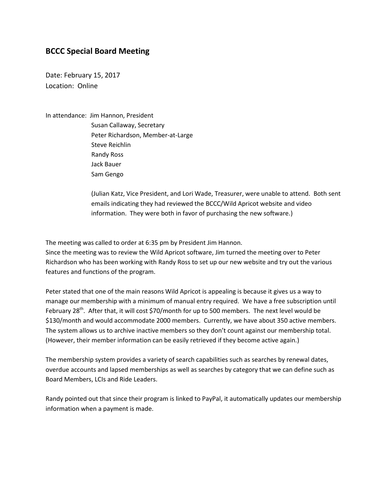## **BCCC Special Board Meeting**

Date: February 15, 2017 Location: Online

In attendance: Jim Hannon, President

 Susan Callaway, Secretary Peter Richardson, Member-at-Large Steve Reichlin Randy Ross Jack Bauer Sam Gengo

(Julian Katz, Vice President, and Lori Wade, Treasurer, were unable to attend. Both sent emails indicating they had reviewed the BCCC/Wild Apricot website and video information. They were both in favor of purchasing the new software.)

The meeting was called to order at 6:35 pm by President Jim Hannon.

Since the meeting was to review the Wild Apricot software, Jim turned the meeting over to Peter Richardson who has been working with Randy Ross to set up our new website and try out the various features and functions of the program.

Peter stated that one of the main reasons Wild Apricot is appealing is because it gives us a way to manage our membership with a minimum of manual entry required. We have a free subscription until February 28<sup>th</sup>. After that, it will cost \$70/month for up to 500 members. The next level would be \$130/month and would accommodate 2000 members. Currently, we have about 350 active members. The system allows us to archive inactive members so they don't count against our membership total. (However, their member information can be easily retrieved if they become active again.)

The membership system provides a variety of search capabilities such as searches by renewal dates, overdue accounts and lapsed memberships as well as searches by category that we can define such as Board Members, LCIs and Ride Leaders.

Randy pointed out that since their program is linked to PayPal, it automatically updates our membership information when a payment is made.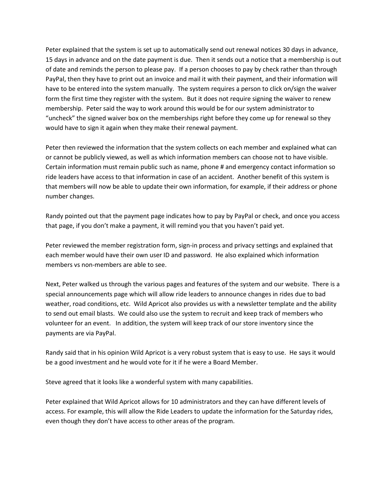Peter explained that the system is set up to automatically send out renewal notices 30 days in advance, 15 days in advance and on the date payment is due. Then it sends out a notice that a membership is out of date and reminds the person to please pay. If a person chooses to pay by check rather than through PayPal, then they have to print out an invoice and mail it with their payment, and their information will have to be entered into the system manually. The system requires a person to click on/sign the waiver form the first time they register with the system. But it does not require signing the waiver to renew membership. Peter said the way to work around this would be for our system administrator to "uncheck" the signed waiver box on the memberships right before they come up for renewal so they would have to sign it again when they make their renewal payment.

Peter then reviewed the information that the system collects on each member and explained what can or cannot be publicly viewed, as well as which information members can choose not to have visible. Certain information must remain public such as name, phone # and emergency contact information so ride leaders have access to that information in case of an accident. Another benefit of this system is that members will now be able to update their own information, for example, if their address or phone number changes.

Randy pointed out that the payment page indicates how to pay by PayPal or check, and once you access that page, if you don't make a payment, it will remind you that you haven't paid yet.

Peter reviewed the member registration form, sign-in process and privacy settings and explained that each member would have their own user ID and password. He also explained which information members vs non-members are able to see.

Next, Peter walked us through the various pages and features of the system and our website. There is a special announcements page which will allow ride leaders to announce changes in rides due to bad weather, road conditions, etc. Wild Apricot also provides us with a newsletter template and the ability to send out email blasts. We could also use the system to recruit and keep track of members who volunteer for an event. In addition, the system will keep track of our store inventory since the payments are via PayPal.

Randy said that in his opinion Wild Apricot is a very robust system that is easy to use. He says it would be a good investment and he would vote for it if he were a Board Member.

Steve agreed that it looks like a wonderful system with many capabilities.

Peter explained that Wild Apricot allows for 10 administrators and they can have different levels of access. For example, this will allow the Ride Leaders to update the information for the Saturday rides, even though they don't have access to other areas of the program.